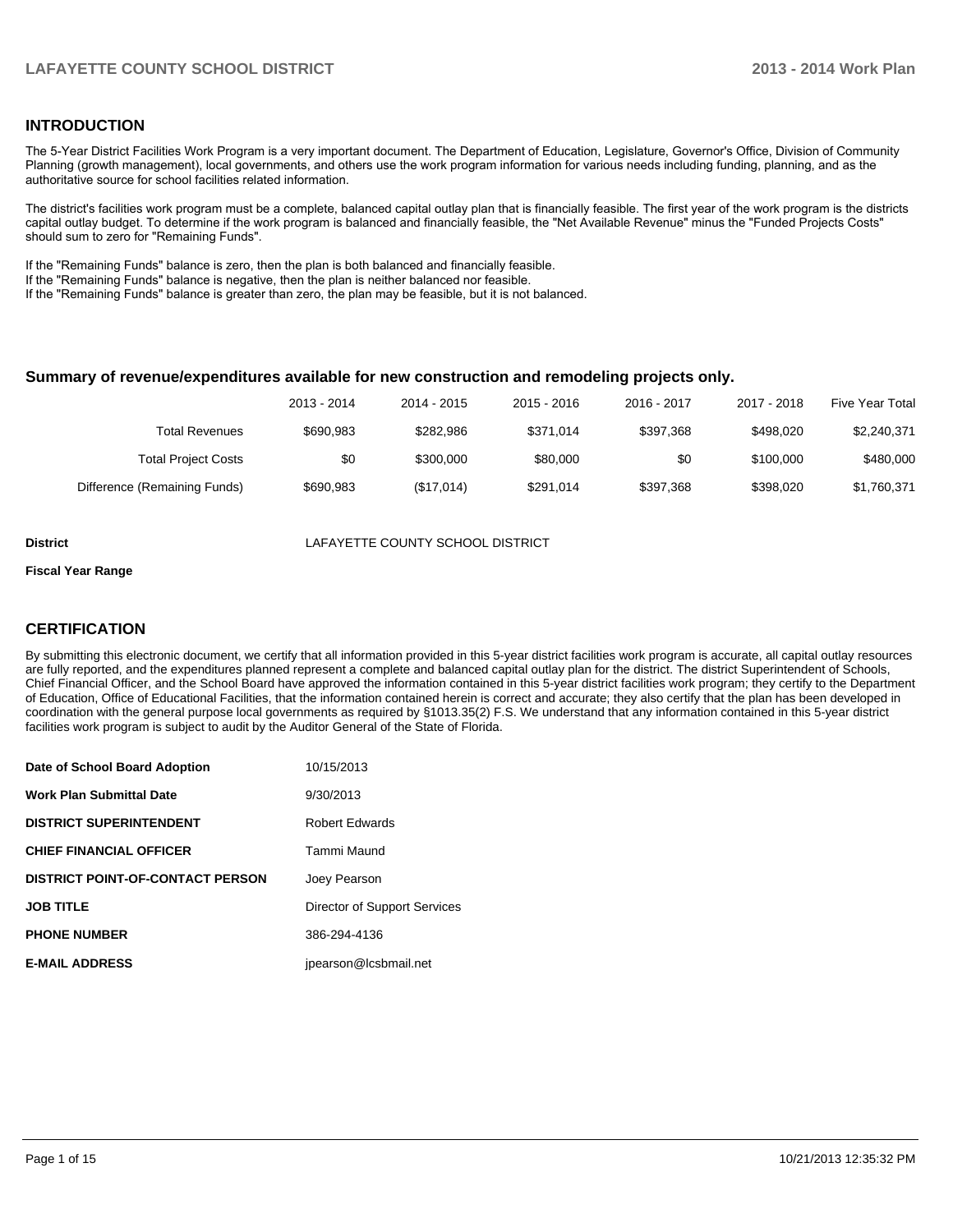#### **INTRODUCTION**

The 5-Year District Facilities Work Program is a very important document. The Department of Education, Legislature, Governor's Office, Division of Community Planning (growth management), local governments, and others use the work program information for various needs including funding, planning, and as the authoritative source for school facilities related information.

The district's facilities work program must be a complete, balanced capital outlay plan that is financially feasible. The first year of the work program is the districts capital outlay budget. To determine if the work program is balanced and financially feasible, the "Net Available Revenue" minus the "Funded Projects Costs" should sum to zero for "Remaining Funds".

If the "Remaining Funds" balance is zero, then the plan is both balanced and financially feasible.

If the "Remaining Funds" balance is negative, then the plan is neither balanced nor feasible.

If the "Remaining Funds" balance is greater than zero, the plan may be feasible, but it is not balanced.

#### **Summary of revenue/expenditures available for new construction and remodeling projects only.**

| <b>Five Year Total</b> | 2017 - 2018 | 2016 - 2017 | 2015 - 2016 | 2014 - 2015 | 2013 - 2014 |                              |
|------------------------|-------------|-------------|-------------|-------------|-------------|------------------------------|
| \$2,240,371            | \$498,020   | \$397.368   | \$371.014   | \$282.986   | \$690.983   | Total Revenues               |
| \$480,000              | \$100,000   | \$0         | \$80,000    | \$300,000   | \$0         | <b>Total Project Costs</b>   |
| \$1,760,371            | \$398,020   | \$397.368   | \$291.014   | (\$17,014)  | \$690,983   | Difference (Remaining Funds) |

**District** LAFAYETTE COUNTY SCHOOL DISTRICT

#### **Fiscal Year Range**

#### **CERTIFICATION**

By submitting this electronic document, we certify that all information provided in this 5-year district facilities work program is accurate, all capital outlay resources are fully reported, and the expenditures planned represent a complete and balanced capital outlay plan for the district. The district Superintendent of Schools, Chief Financial Officer, and the School Board have approved the information contained in this 5-year district facilities work program; they certify to the Department of Education, Office of Educational Facilities, that the information contained herein is correct and accurate; they also certify that the plan has been developed in coordination with the general purpose local governments as required by §1013.35(2) F.S. We understand that any information contained in this 5-year district facilities work program is subject to audit by the Auditor General of the State of Florida.

| Date of School Board Adoption           | 10/15/2013                   |
|-----------------------------------------|------------------------------|
| <b>Work Plan Submittal Date</b>         | 9/30/2013                    |
| <b>DISTRICT SUPERINTENDENT</b>          | <b>Robert Edwards</b>        |
| <b>CHIEF FINANCIAL OFFICER</b>          | Tammi Maund                  |
| <b>DISTRICT POINT-OF-CONTACT PERSON</b> | Joey Pearson                 |
| <b>JOB TITLE</b>                        | Director of Support Services |
| <b>PHONE NUMBER</b>                     | 386-294-4136                 |
| <b>E-MAIL ADDRESS</b>                   | jpearson@lcsbmail.net        |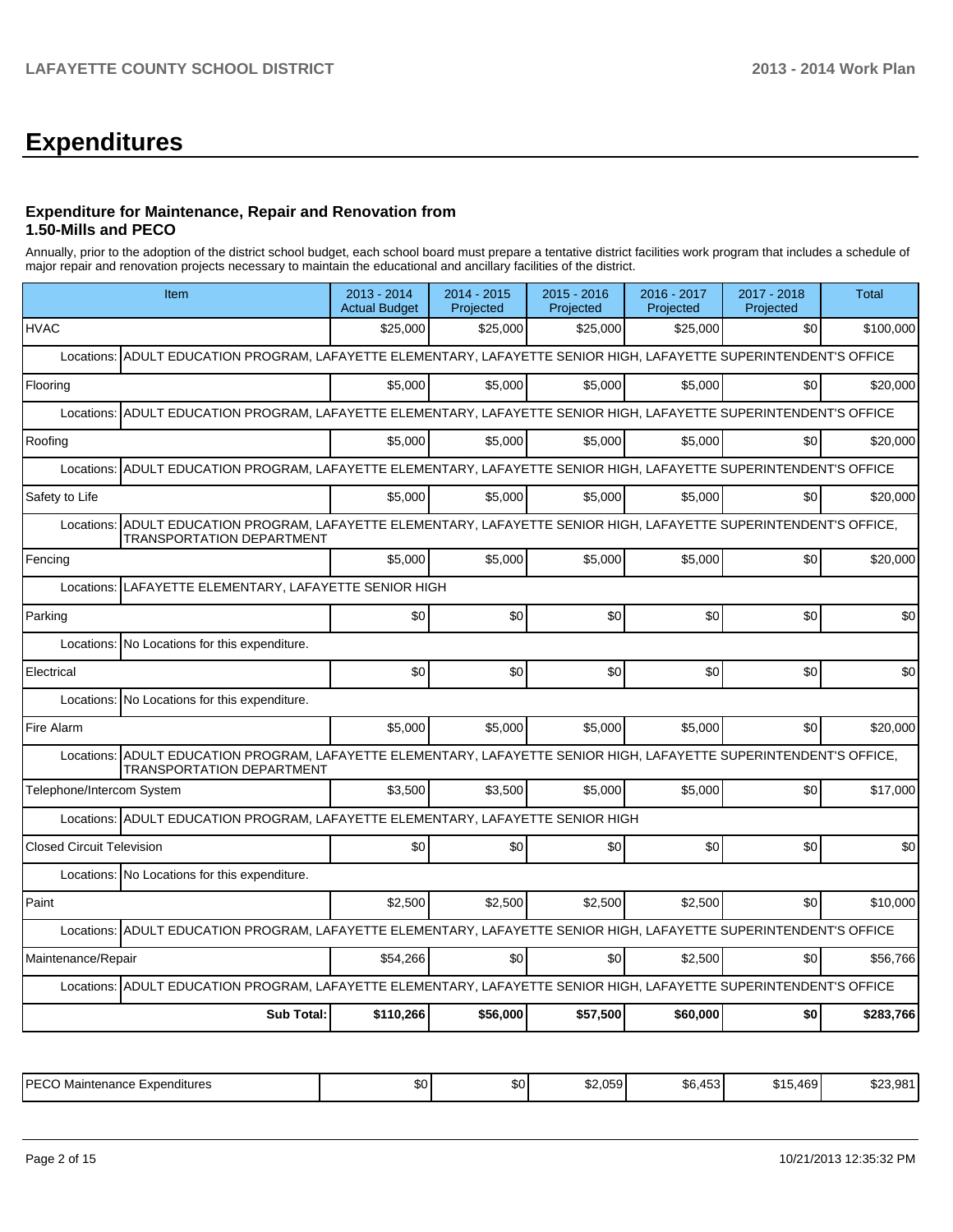## **Expenditures**

#### **Expenditure for Maintenance, Repair and Renovation from 1.50-Mills and PECO**

Annually, prior to the adoption of the district school budget, each school board must prepare a tentative district facilities work program that includes a schedule of major repair and renovation projects necessary to maintain the educational and ancillary facilities of the district.

| Item                                                                                                                                                       | 2013 - 2014<br><b>Actual Budget</b>                                                                     | 2014 - 2015<br>Projected | 2015 - 2016<br>Projected | 2016 - 2017<br>Projected | 2017 - 2018<br>Projected | <b>Total</b> |  |  |  |  |  |
|------------------------------------------------------------------------------------------------------------------------------------------------------------|---------------------------------------------------------------------------------------------------------|--------------------------|--------------------------|--------------------------|--------------------------|--------------|--|--|--|--|--|
| <b>HVAC</b>                                                                                                                                                | \$25,000                                                                                                | \$25,000                 | \$25,000                 | \$25,000                 | \$0                      | \$100,000    |  |  |  |  |  |
| ADULT EDUCATION PROGRAM, LAFAYETTE ELEMENTARY, LAFAYETTE SENIOR HIGH, LAFAYETTE SUPERINTENDENT'S OFFICE<br>Locations:                                      |                                                                                                         |                          |                          |                          |                          |              |  |  |  |  |  |
| Flooring                                                                                                                                                   | \$5.000                                                                                                 | \$5.000                  | \$5,000                  | \$5.000                  | \$0                      | \$20,000     |  |  |  |  |  |
| Locations:                                                                                                                                                 | ADULT EDUCATION PROGRAM, LAFAYETTE ELEMENTARY, LAFAYETTE SENIOR HIGH, LAFAYETTE SUPERINTENDENT'S OFFICE |                          |                          |                          |                          |              |  |  |  |  |  |
| Roofing                                                                                                                                                    | \$5.000                                                                                                 | \$5.000                  | \$5,000                  | \$5.000                  | \$0                      | \$20,000     |  |  |  |  |  |
| ADULT EDUCATION PROGRAM, LAFAYETTE ELEMENTARY, LAFAYETTE SENIOR HIGH, LAFAYETTE SUPERINTENDENT'S OFFICE<br>Locations:                                      |                                                                                                         |                          |                          |                          |                          |              |  |  |  |  |  |
| Safety to Life                                                                                                                                             | \$5,000                                                                                                 | \$5,000                  | \$5,000                  | \$5,000                  | \$0                      | \$20,000     |  |  |  |  |  |
| ADULT EDUCATION PROGRAM, LAFAYETTE ELEMENTARY, LAFAYETTE SENIOR HIGH, LAFAYETTE SUPERINTENDENT'S OFFICE,<br>Locations:<br><b>TRANSPORTATION DEPARTMENT</b> |                                                                                                         |                          |                          |                          |                          |              |  |  |  |  |  |
| Fencing                                                                                                                                                    | \$5.000                                                                                                 | \$5,000                  | \$5,000                  | \$5,000                  | \$0                      | \$20,000     |  |  |  |  |  |
| Locations: LAFAYETTE ELEMENTARY, LAFAYETTE SENIOR HIGH                                                                                                     |                                                                                                         |                          |                          |                          |                          |              |  |  |  |  |  |
| Parking                                                                                                                                                    | \$0                                                                                                     | \$0                      | \$0                      | \$0                      | \$0                      | \$0          |  |  |  |  |  |
| Locations: No Locations for this expenditure.                                                                                                              |                                                                                                         |                          |                          |                          |                          |              |  |  |  |  |  |
| Electrical                                                                                                                                                 | \$0                                                                                                     | \$0                      | \$0                      | \$0                      | \$0                      | \$0          |  |  |  |  |  |
| Locations: No Locations for this expenditure.                                                                                                              |                                                                                                         |                          |                          |                          |                          |              |  |  |  |  |  |
| Fire Alarm                                                                                                                                                 | \$5,000                                                                                                 | \$5,000                  | \$5,000                  | \$5,000                  | \$0                      | \$20,000     |  |  |  |  |  |
| ADULT EDUCATION PROGRAM, LAFAYETTE ELEMENTARY, LAFAYETTE SENIOR HIGH, LAFAYETTE SUPERINTENDENT'S OFFICE,<br>Locations:<br><b>TRANSPORTATION DEPARTMENT</b> |                                                                                                         |                          |                          |                          |                          |              |  |  |  |  |  |
| Telephone/Intercom System                                                                                                                                  | \$3,500                                                                                                 | \$3,500                  | \$5,000                  | \$5,000                  | \$0                      | \$17,000     |  |  |  |  |  |
| Locations: ADULT EDUCATION PROGRAM, LAFAYETTE ELEMENTARY, LAFAYETTE SENIOR HIGH                                                                            |                                                                                                         |                          |                          |                          |                          |              |  |  |  |  |  |
| <b>Closed Circuit Television</b>                                                                                                                           | \$0                                                                                                     | \$0                      | \$0                      | \$0                      | \$0                      | \$0          |  |  |  |  |  |
| Locations: No Locations for this expenditure.                                                                                                              |                                                                                                         |                          |                          |                          |                          |              |  |  |  |  |  |
| Paint                                                                                                                                                      | \$2.500                                                                                                 | \$2.500                  | \$2,500                  | \$2.500                  | \$0                      | \$10,000     |  |  |  |  |  |
| Locations: ADULT EDUCATION PROGRAM, LAFAYETTE ELEMENTARY, LAFAYETTE SENIOR HIGH, LAFAYETTE SUPERINTENDENT'S OFFICE                                         |                                                                                                         |                          |                          |                          |                          |              |  |  |  |  |  |
| Maintenance/Repair                                                                                                                                         | \$54,266                                                                                                | \$0                      | \$0                      | \$2,500                  | \$0                      | \$56,766     |  |  |  |  |  |
| Locations: ADULT EDUCATION PROGRAM, LAFAYETTE ELEMENTARY, LAFAYETTE SENIOR HIGH, LAFAYETTE SUPERINTENDENT'S OFFICE                                         |                                                                                                         |                          |                          |                          |                          |              |  |  |  |  |  |
| <b>Sub Total:</b>                                                                                                                                          | \$110,266                                                                                               | \$56,000                 | \$57,500                 | \$60,000                 | \$0                      | \$283,766    |  |  |  |  |  |

| <b>DECO</b><br>.<br>-SO !<br>Maintenance Expenditures | ሖ<br>Ψ∪ | \$2,059 | $1 - C$<br>Фc<br>$\mathbf{m}$<br>ახ.<br>וט⊬ | ا 469.د .<br>64 E<br> | ሰሰሰ<br>091<br>323.YG |
|-------------------------------------------------------|---------|---------|---------------------------------------------|-----------------------|----------------------|
|-------------------------------------------------------|---------|---------|---------------------------------------------|-----------------------|----------------------|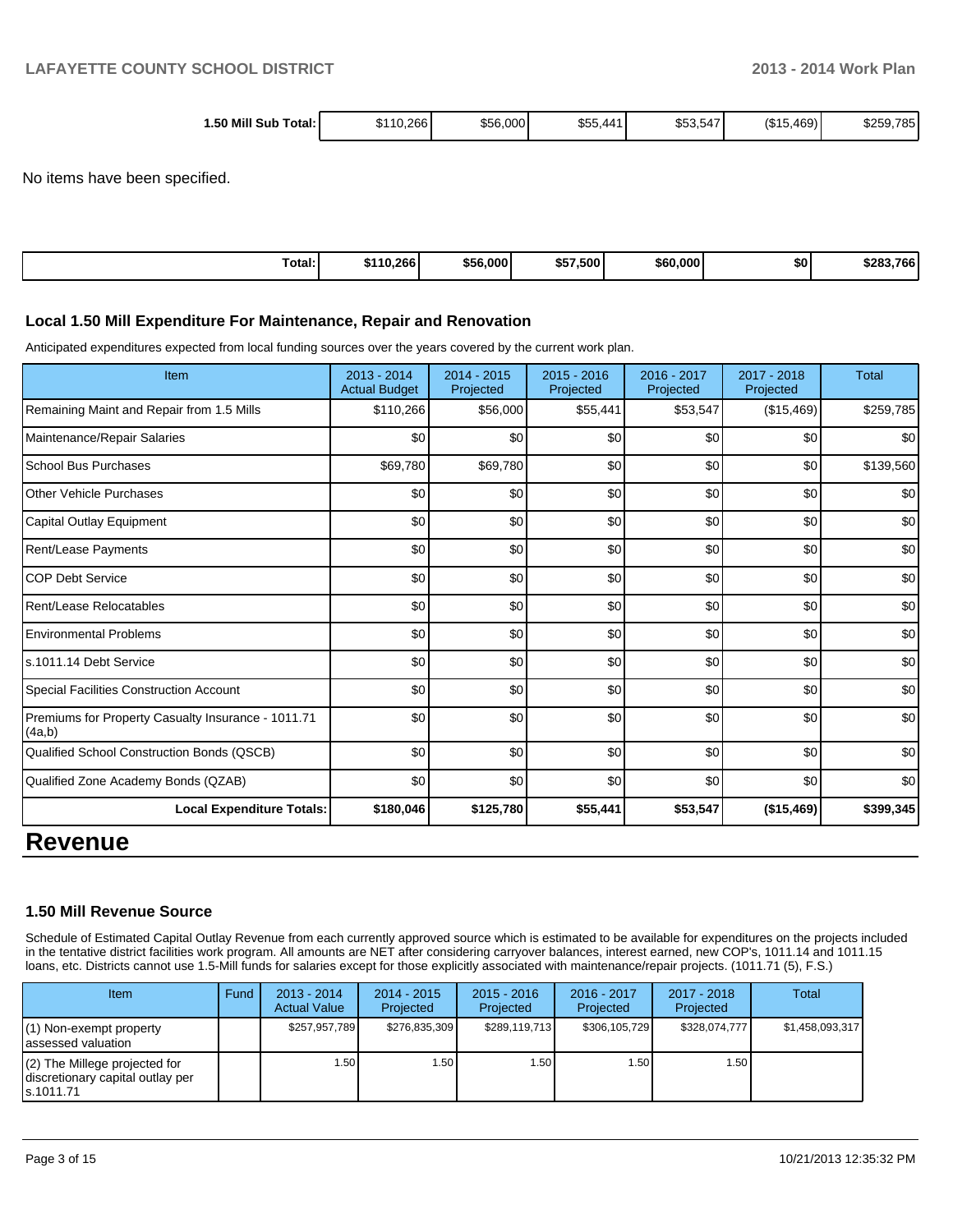| Mill<br>1.50<br>\$56,000<br>10.266<br>Sub<br>Total:।<br>$\cdot$ . | <b>ero</b><br>. 441<br>\$55. | (S15)<br>.469)<br>785<br>\$259,7<br>$-1$<br>\$53,547<br>ັບບ |
|-------------------------------------------------------------------|------------------------------|-------------------------------------------------------------|
|-------------------------------------------------------------------|------------------------------|-------------------------------------------------------------|

No items have been specified.

| Total: | \$110.266 | \$56,000 | \$57,500 | \$60,000 | \$0 | \$283.766 |
|--------|-----------|----------|----------|----------|-----|-----------|
|--------|-----------|----------|----------|----------|-----|-----------|

#### **Local 1.50 Mill Expenditure For Maintenance, Repair and Renovation**

Anticipated expenditures expected from local funding sources over the years covered by the current work plan.

| Item                                                         | $2013 - 2014$<br><b>Actual Budget</b> | $2014 - 2015$<br>Projected | $2015 - 2016$<br>Projected | 2016 - 2017<br>Projected | $2017 - 2018$<br>Projected | <b>Total</b> |
|--------------------------------------------------------------|---------------------------------------|----------------------------|----------------------------|--------------------------|----------------------------|--------------|
| Remaining Maint and Repair from 1.5 Mills                    | \$110,266                             | \$56,000                   | \$55,441                   | \$53,547                 | (\$15,469)                 | \$259,785    |
| Maintenance/Repair Salaries                                  | \$0                                   | \$0                        | \$0                        | \$0                      | \$0                        | \$0          |
| <b>School Bus Purchases</b>                                  | \$69,780                              | \$69,780                   | \$0                        | \$0                      | \$0                        | \$139,560    |
| <b>Other Vehicle Purchases</b>                               | \$0                                   | \$0                        | \$0                        | \$0                      | \$0                        | \$0          |
| <b>Capital Outlay Equipment</b>                              | \$0                                   | \$0                        | \$0                        | \$0                      | \$0                        | \$0          |
| Rent/Lease Payments                                          | \$0                                   | \$0                        | \$0                        | \$0                      | \$0                        | \$0          |
| <b>COP Debt Service</b>                                      | \$0                                   | \$0                        | \$0                        | \$0                      | \$0                        | \$0          |
| Rent/Lease Relocatables                                      | \$0                                   | \$0                        | \$0                        | \$0                      | \$0                        | \$0          |
| <b>Environmental Problems</b>                                | \$0                                   | \$0                        | \$0                        | \$0                      | \$0                        | \$0          |
| s.1011.14 Debt Service                                       | \$0                                   | \$0                        | \$0                        | \$0                      | \$0                        | \$0          |
| <b>Special Facilities Construction Account</b>               | \$0                                   | \$0                        | \$0                        | \$0                      | \$0                        | \$0          |
| Premiums for Property Casualty Insurance - 1011.71<br>(4a,b) | \$0                                   | \$0                        | \$0                        | \$0                      | \$0                        | \$0          |
| Qualified School Construction Bonds (QSCB)                   | \$0                                   | \$0                        | \$0                        | \$0                      | \$0                        | \$0          |
| Qualified Zone Academy Bonds (QZAB)                          | \$0                                   | \$0                        | \$0                        | \$0                      | \$0                        | \$0          |
| <b>Local Expenditure Totals:</b>                             | \$180,046                             | \$125,780                  | \$55,441                   | \$53,547                 | (\$15,469)                 | \$399,345    |
| <b>Revenue</b>                                               |                                       |                            |                            |                          |                            |              |

#### **1.50 Mill Revenue Source**

Schedule of Estimated Capital Outlay Revenue from each currently approved source which is estimated to be available for expenditures on the projects included in the tentative district facilities work program. All amounts are NET after considering carryover balances, interest earned, new COP's, 1011.14 and 1011.15 loans, etc. Districts cannot use 1.5-Mill funds for salaries except for those explicitly associated with maintenance/repair projects. (1011.71 (5), F.S.)

| <b>Item</b>                                                                       | Fund | $2013 - 2014$<br><b>Actual Value</b> | $2014 - 2015$<br>Projected | $2015 - 2016$<br>Projected | $2016 - 2017$<br>Projected | $2017 - 2018$<br>Projected | Total           |
|-----------------------------------------------------------------------------------|------|--------------------------------------|----------------------------|----------------------------|----------------------------|----------------------------|-----------------|
| $(1)$ Non-exempt property<br>lassessed valuation                                  |      | \$257,957,789                        | \$276.835.309              | \$289,119,713              | \$306.105.729              | \$328.074.777              | \$1,458,093,317 |
| $(2)$ The Millege projected for<br>discretionary capital outlay per<br>ls.1011.71 |      | 1.50                                 | 1.50 I                     | l .50 l                    | ا 50.،                     | 1.50 l                     |                 |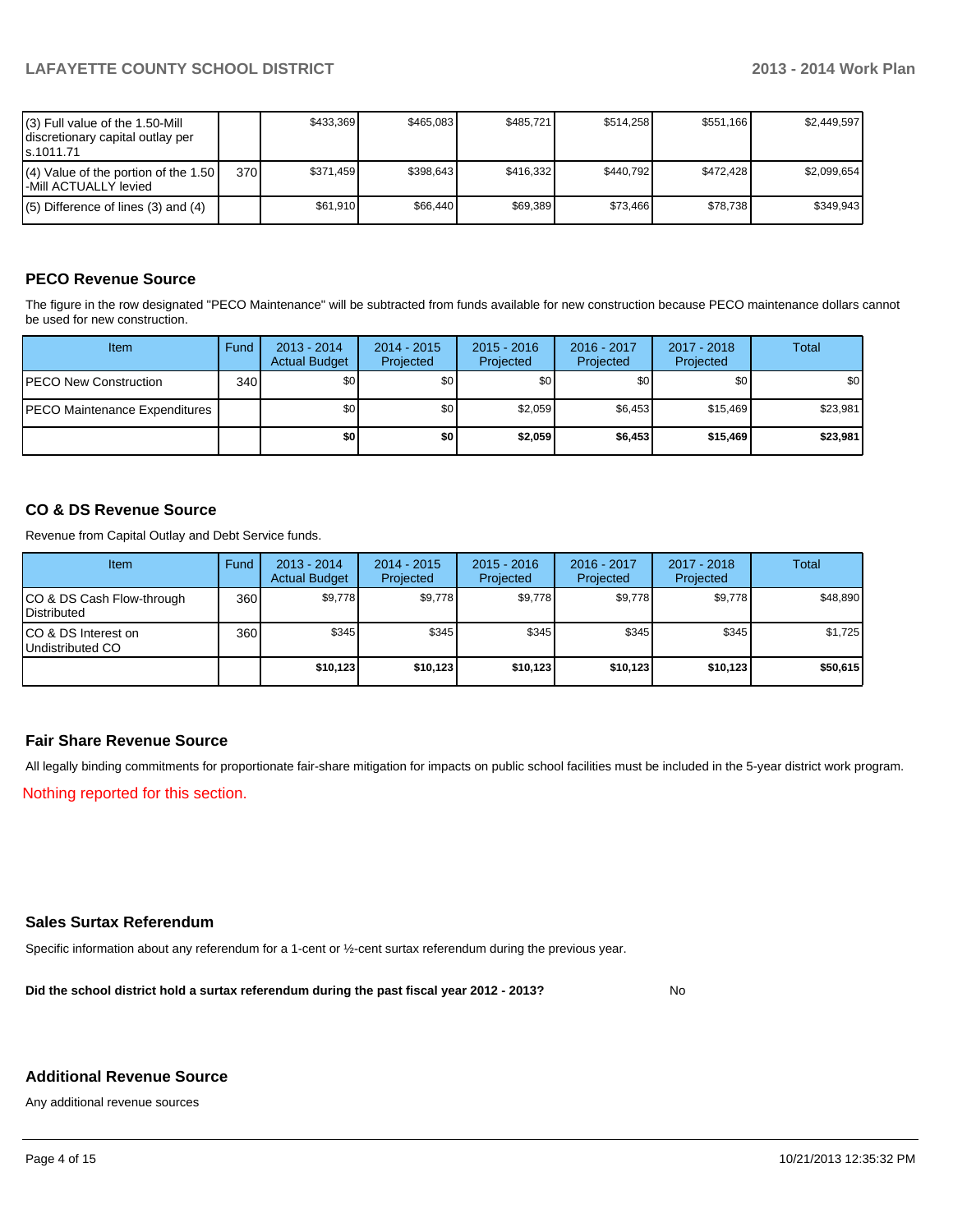| (3) Full value of the 1.50-Mill<br>I discretionary capital outlay per<br>ls.1011.71 |     | \$433.369 | \$465.083 | \$485.721 | \$514.258 | \$551.166 | \$2.449.597 |
|-------------------------------------------------------------------------------------|-----|-----------|-----------|-----------|-----------|-----------|-------------|
| $(4)$ Value of the portion of the 1.50<br>l-Mill ACTUALLY levied                    | 370 | \$371.459 | \$398.643 | \$416.332 | \$440.792 | \$472.428 | \$2.099.654 |
| $(5)$ Difference of lines (3) and (4)                                               |     | \$61.910  | \$66.440  | \$69.389  | \$73.466  | \$78.738  | \$349.943   |

#### **PECO Revenue Source**

The figure in the row designated "PECO Maintenance" will be subtracted from funds available for new construction because PECO maintenance dollars cannot be used for new construction.

| Item                                  | Fund  | 2013 - 2014<br><b>Actual Budget</b> | $2014 - 2015$<br>Projected | $2015 - 2016$<br>Projected | 2016 - 2017<br>Projected | 2017 - 2018<br>Projected | Total    |
|---------------------------------------|-------|-------------------------------------|----------------------------|----------------------------|--------------------------|--------------------------|----------|
| <b>PECO New Construction</b>          | 340 l | \$0                                 | \$0                        | \$0                        | \$0 <sub>0</sub>         | \$0                      | \$0      |
| <b>IPECO Maintenance Expenditures</b> |       | \$0 <sub>1</sub>                    | \$0 <sub>1</sub>           | \$2.059                    | \$6.453                  | \$15.469                 | \$23,981 |
|                                       |       | \$0                                 | \$0                        | \$2,059                    | \$6,453                  | \$15,469                 | \$23,981 |

#### **CO & DS Revenue Source**

Revenue from Capital Outlay and Debt Service funds.

| <b>Item</b>                                        | Fund | 2013 - 2014<br><b>Actual Budget</b> | $2014 - 2015$<br>Projected | $2015 - 2016$<br>Projected | $2016 - 2017$<br>Projected | $2017 - 2018$<br>Projected | Total    |
|----------------------------------------------------|------|-------------------------------------|----------------------------|----------------------------|----------------------------|----------------------------|----------|
| ICO & DS Cash Flow-through<br><b>I</b> Distributed | 360  | \$9,778                             | \$9,778                    | \$9,778                    | \$9,778                    | \$9,778                    | \$48,890 |
| ICO & DS Interest on<br>Undistributed CO           | 360  | \$345                               | \$345                      | \$345                      | \$345                      | \$345                      | \$1,725  |
|                                                    |      | \$10,123                            | \$10,123                   | \$10,123                   | \$10.123                   | \$10,123                   | \$50,615 |

#### **Fair Share Revenue Source**

All legally binding commitments for proportionate fair-share mitigation for impacts on public school facilities must be included in the 5-year district work program.

Nothing reported for this section.

#### **Sales Surtax Referendum**

Specific information about any referendum for a 1-cent or ½-cent surtax referendum during the previous year.

**Did the school district hold a surtax referendum during the past fiscal year 2012 - 2013?**

No

#### **Additional Revenue Source**

Any additional revenue sources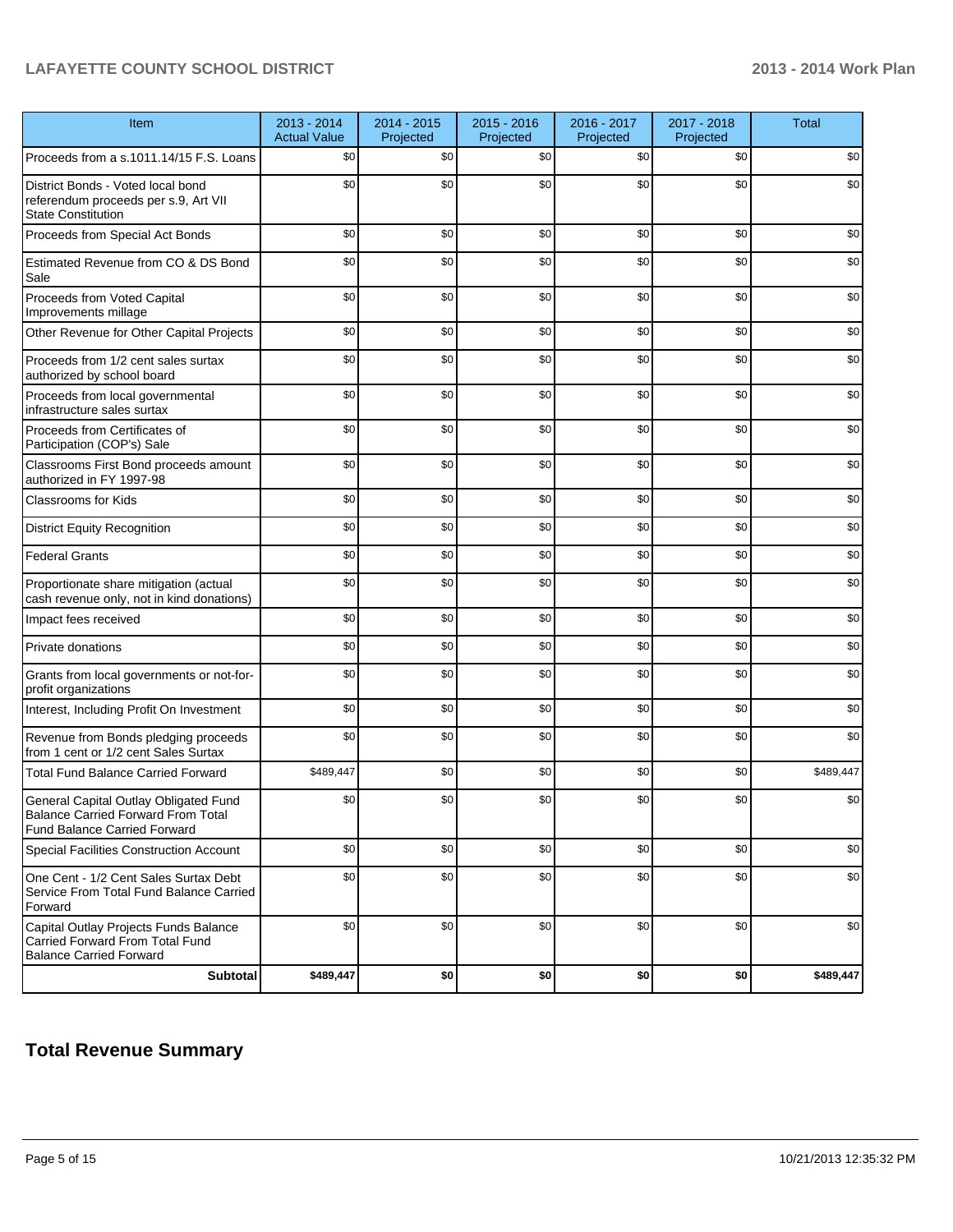### **LAFAYETTE COUNTY SCHOOL DISTRICT 2013 - 2014 Work Plan**

| Item                                                                                                               | 2013 - 2014<br><b>Actual Value</b> | 2014 - 2015<br>Projected | 2015 - 2016<br>Projected | 2016 - 2017<br>Projected | 2017 - 2018<br>Projected | <b>Total</b> |
|--------------------------------------------------------------------------------------------------------------------|------------------------------------|--------------------------|--------------------------|--------------------------|--------------------------|--------------|
| Proceeds from a s.1011.14/15 F.S. Loans                                                                            | \$0                                | \$0                      | \$0                      | \$0                      | \$0                      | \$0          |
| District Bonds - Voted local bond<br>referendum proceeds per s.9, Art VII<br><b>State Constitution</b>             | \$0                                | \$0                      | \$0                      | \$0                      | \$0                      | \$0          |
| Proceeds from Special Act Bonds                                                                                    | \$0                                | \$0                      | \$0                      | \$0                      | \$0                      | \$0          |
| Estimated Revenue from CO & DS Bond<br>Sale                                                                        | \$0                                | \$0                      | \$0                      | \$0                      | \$0                      | \$0          |
| Proceeds from Voted Capital<br>Improvements millage                                                                | \$0                                | \$0                      | \$0                      | \$0                      | \$0                      | \$0          |
| Other Revenue for Other Capital Projects                                                                           | \$0                                | \$0                      | \$0                      | \$0                      | \$0                      | \$0          |
| Proceeds from 1/2 cent sales surtax<br>authorized by school board                                                  | \$0                                | \$0                      | \$0                      | \$0                      | \$0                      | \$0          |
| Proceeds from local governmental<br>infrastructure sales surtax                                                    | \$0                                | \$0                      | \$0                      | \$0                      | \$0                      | \$0          |
| Proceeds from Certificates of<br>Participation (COP's) Sale                                                        | \$0                                | \$0                      | \$0                      | \$0                      | \$0                      | \$0          |
| Classrooms First Bond proceeds amount<br>authorized in FY 1997-98                                                  | \$0                                | \$0                      | \$0                      | \$0                      | \$0                      | \$0          |
| <b>Classrooms for Kids</b>                                                                                         | \$0                                | \$0                      | \$0                      | \$0                      | \$0                      | \$0          |
| <b>District Equity Recognition</b>                                                                                 | \$0                                | \$0                      | \$0                      | \$0                      | \$0                      | \$0          |
| <b>Federal Grants</b>                                                                                              | \$0                                | \$0                      | \$0                      | \$0                      | \$0                      | \$0          |
| Proportionate share mitigation (actual<br>cash revenue only, not in kind donations)                                | \$0                                | \$0                      | \$0                      | \$0                      | \$0                      | \$0          |
| Impact fees received                                                                                               | \$0                                | \$0                      | \$0                      | \$0                      | \$0                      | \$0          |
| Private donations                                                                                                  | \$0                                | \$0                      | \$0                      | \$0                      | \$0                      | \$0          |
| Grants from local governments or not-for-<br>profit organizations                                                  | \$0                                | \$0                      | \$0                      | \$0                      | \$0                      | \$0          |
| Interest, Including Profit On Investment                                                                           | \$0                                | \$0                      | \$0                      | \$0                      | \$0                      | \$0          |
| Revenue from Bonds pledging proceeds<br>from 1 cent or 1/2 cent Sales Surtax                                       | \$0                                | \$0                      | \$0                      | \$0                      | \$0                      | \$0          |
| <b>Total Fund Balance Carried Forward</b>                                                                          | \$489,447                          | \$0                      | \$0                      | \$0                      | \$0                      | \$489,447    |
| General Capital Outlay Obligated Fund<br>Balance Carried Forward From Total<br><b>Fund Balance Carried Forward</b> | \$0                                | \$0                      | \$0                      | \$0                      | \$0                      | \$0          |
| Special Facilities Construction Account                                                                            | \$0                                | \$0                      | \$0                      | \$0                      | \$0                      | \$0          |
| One Cent - 1/2 Cent Sales Surtax Debt<br>Service From Total Fund Balance Carried<br>Forward                        | \$0                                | \$0                      | \$0                      | \$0                      | \$0                      | \$0          |
| Capital Outlay Projects Funds Balance<br>Carried Forward From Total Fund<br><b>Balance Carried Forward</b>         | \$0                                | \$0                      | \$0                      | \$0                      | \$0                      | \$0          |
| <b>Subtotal</b>                                                                                                    | \$489,447                          | \$0                      | \$0                      | \$0                      | \$0                      | \$489,447    |

### **Total Revenue Summary**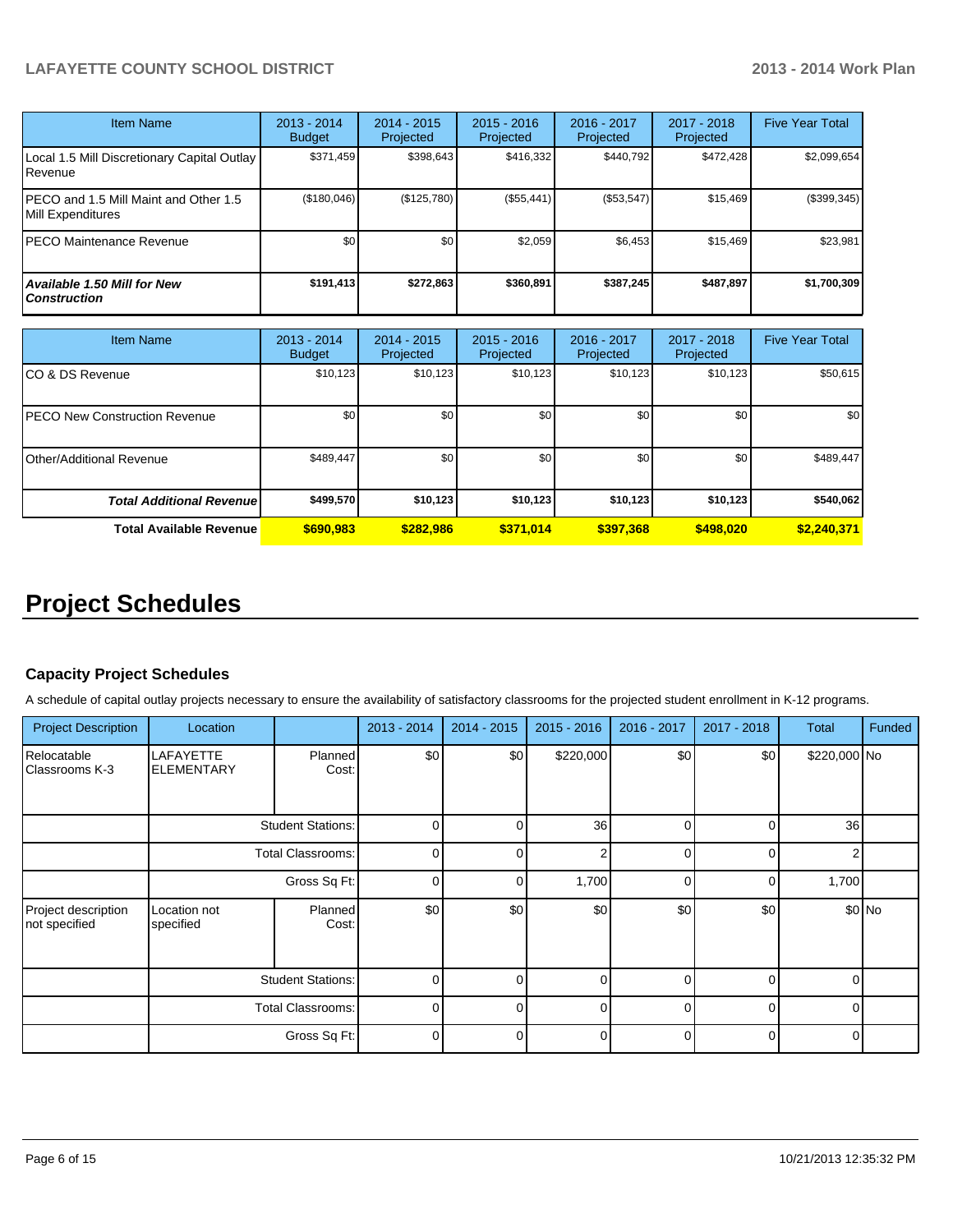### **LAFAYETTE COUNTY SCHOOL DISTRICT 2013 - 2014 Work Plan**

| <b>Item Name</b>                                            | 2013 - 2014<br><b>Budget</b> | 2014 - 2015<br>Projected | $2015 - 2016$<br>Projected | 2016 - 2017<br>Projected | 2017 - 2018<br>Projected | <b>Five Year Total</b> |
|-------------------------------------------------------------|------------------------------|--------------------------|----------------------------|--------------------------|--------------------------|------------------------|
| Local 1.5 Mill Discretionary Capital Outlay  <br>l Revenue  | \$371,459                    | \$398,643                | \$416,332                  | \$440,792                | \$472,428                | \$2,099,654            |
| IPECO and 1.5 Mill Maint and Other 1.5<br>Mill Expenditures | (\$180,046)                  | (\$125,780)              | (\$55,441)                 | (\$53,547)               | \$15.469                 | (\$399,345)            |
| IPECO Maintenance Revenue                                   | \$0                          | \$0                      | \$2,059                    | \$6,453                  | \$15,469                 | \$23,981               |
| <b>Available 1.50 Mill for New</b><br>l Construction        | \$191,413                    | \$272,863                | \$360.891                  | \$387.245                | \$487,897                | \$1,700,309            |

| Item Name                            | 2013 - 2014<br><b>Budget</b> | $2014 - 2015$<br>Projected | $2015 - 2016$<br>Projected | $2016 - 2017$<br>Projected | $2017 - 2018$<br>Projected | <b>Five Year Total</b> |
|--------------------------------------|------------------------------|----------------------------|----------------------------|----------------------------|----------------------------|------------------------|
| CO & DS Revenue                      | \$10,123                     | \$10,123                   | \$10,123                   | \$10,123                   | \$10,123                   | \$50,615               |
| <b>PECO New Construction Revenue</b> | \$0                          | \$0                        | \$0                        | \$0                        | \$0                        | \$0                    |
| Other/Additional Revenue             | \$489,447                    | \$0                        | \$0                        | \$0                        | \$0                        | \$489,447              |
| <b>Total Additional Revenuel</b>     | \$499,570                    | \$10,123                   | \$10,123                   | \$10,123                   | \$10,123                   | \$540,062              |
| <b>Total Available Revenue</b>       | \$690,983                    | \$282,986                  | \$371,014                  | \$397,368                  | \$498,020                  | \$2,240,371            |

### **Project Schedules**

#### **Capacity Project Schedules**

A schedule of capital outlay projects necessary to ensure the availability of satisfactory classrooms for the projected student enrollment in K-12 programs.

| <b>Project Description</b>           | Location                       |                          | 2013 - 2014 | 2014 - 2015  | 2015 - 2016     | 2016 - 2017 | 2017 - 2018 | <b>Total</b>    | Funded |
|--------------------------------------|--------------------------------|--------------------------|-------------|--------------|-----------------|-------------|-------------|-----------------|--------|
| Relocatable<br>Classrooms K-3        | LAFAYETTE<br><b>ELEMENTARY</b> | <b>Planned</b><br>Cost:  | \$0         | \$0          | \$220,000       | \$0         | \$0         | \$220,000 No    |        |
|                                      |                                | <b>Student Stations:</b> | 0           |              | 36 <sup>1</sup> | $\Omega$    | ſ           | 36 <sup>1</sup> |        |
|                                      | Total Classrooms:              |                          | $\Omega$    | $\cap$       | 2               | $\Omega$    | $\Omega$    | $\Omega$        |        |
|                                      | Gross Sq Ft:                   |                          | 0           | <sup>n</sup> | 1,700           | $\Omega$    | C           | 1,700           |        |
| Project description<br>not specified | Location not<br>specified      | Planned<br>Cost:         | \$0         | \$0          | \$0             | \$0         | \$0         | \$0 No          |        |
|                                      | <b>Student Stations:</b>       |                          | $\Omega$    | ∩            | $\Omega$        | $\Omega$    | $\Omega$    | $\Omega$        |        |
|                                      |                                | Total Classrooms:        | $\Omega$    |              | $\Omega$        |             | $\Omega$    |                 |        |
|                                      |                                | Gross Sq Ft:             | $\Omega$    |              | 0               |             | $\Omega$    |                 |        |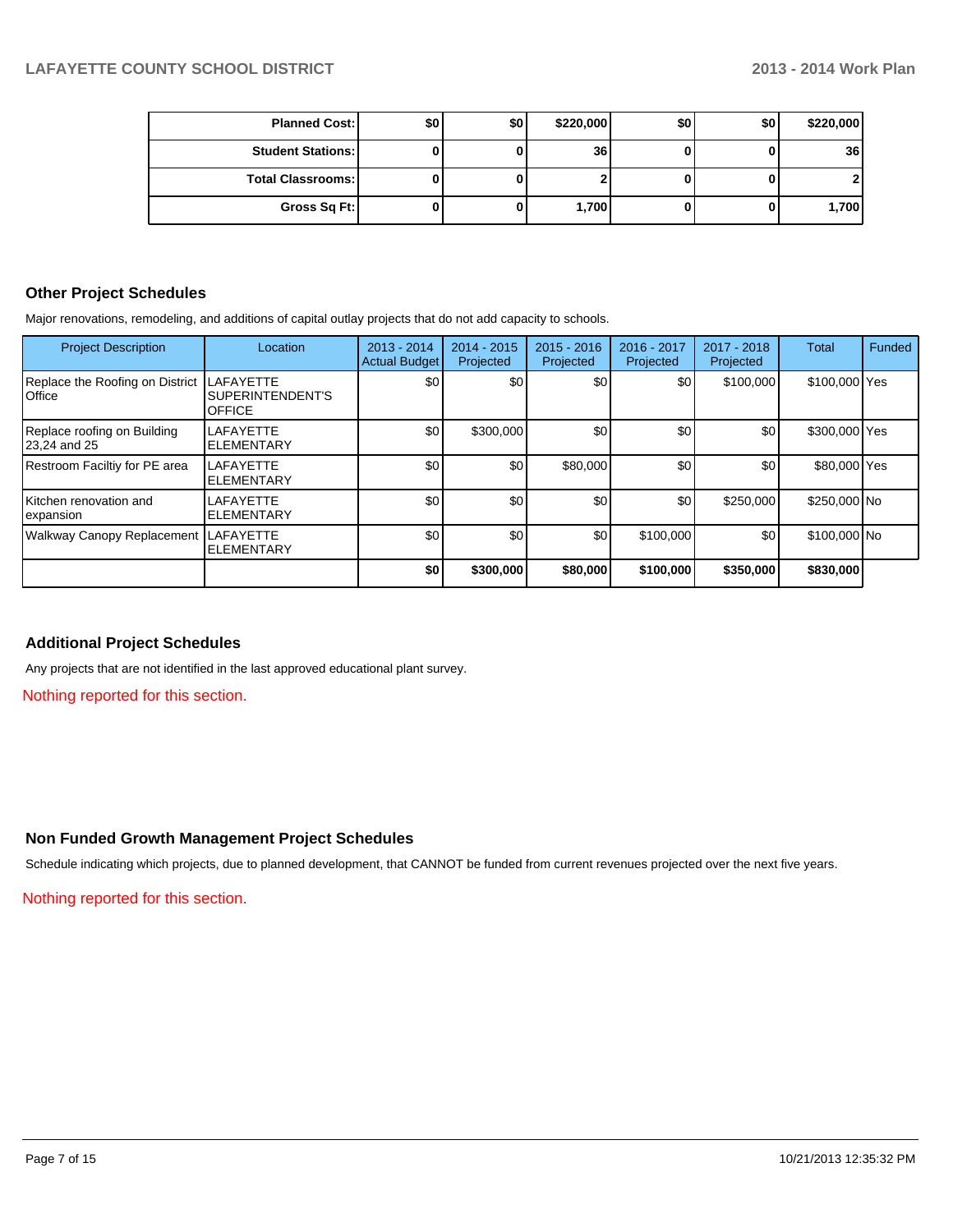| <b>Planned Cost:</b>     | \$0 | \$0 | \$220,000 | \$0 | \$0 | \$220,000 |
|--------------------------|-----|-----|-----------|-----|-----|-----------|
| <b>Student Stations:</b> |     |     | 36        |     |     | 36        |
| <b>Total Classrooms:</b> |     |     |           |     |     |           |
| Gross Sq Ft:             |     |     | 1,700     |     |     | 1,700     |

#### **Other Project Schedules**

Major renovations, remodeling, and additions of capital outlay projects that do not add capacity to schools.

| <b>Project Description</b>                         | Location                                              | 2013 - 2014<br>Actual Budget | $2014 - 2015$<br>Projected | $2015 - 2016$<br>Projected | 2016 - 2017<br>Projected | 2017 - 2018<br>Projected | <b>Total</b>  | Funded |
|----------------------------------------------------|-------------------------------------------------------|------------------------------|----------------------------|----------------------------|--------------------------|--------------------------|---------------|--------|
| Replace the Roofing on District<br><b>I</b> Office | <b>LAFAYETTE</b><br>SUPERINTENDENT'S<br><b>OFFICE</b> | \$0                          | \$0 <sub>1</sub>           | \$0                        | \$0                      | \$100,000                | \$100,000 Yes |        |
| Replace roofing on Building<br>23,24 and 25        | <b>LAFAYETTE</b><br><b>ELEMENTARY</b>                 | \$0                          | \$300,000                  | \$0                        | \$0                      | \$0                      | \$300,000 Yes |        |
| Restroom Faciltiy for PE area                      | <b>LAFAYETTE</b><br><b>ELEMENTARY</b>                 | \$0                          | \$0                        | \$80,000                   | \$0                      | \$0                      | \$80,000 Yes  |        |
| Kitchen renovation and<br>lexpansion               | LAFAYETTE<br><b>ELEMENTARY</b>                        | \$0                          | \$0                        | \$0                        | \$0                      | \$250,000                | \$250,000 No  |        |
| Walkway Canopy Replacement LAFAYETTE               | <b>ELEMENTARY</b>                                     | \$0                          | \$0                        | \$0                        | \$100,000                | \$0                      | \$100,000 No  |        |
|                                                    |                                                       | \$0                          | \$300,000                  | \$80,000                   | \$100,000                | \$350,000                | \$830,000     |        |

#### **Additional Project Schedules**

Any projects that are not identified in the last approved educational plant survey.

Nothing reported for this section.

#### **Non Funded Growth Management Project Schedules**

Schedule indicating which projects, due to planned development, that CANNOT be funded from current revenues projected over the next five years.

Nothing reported for this section.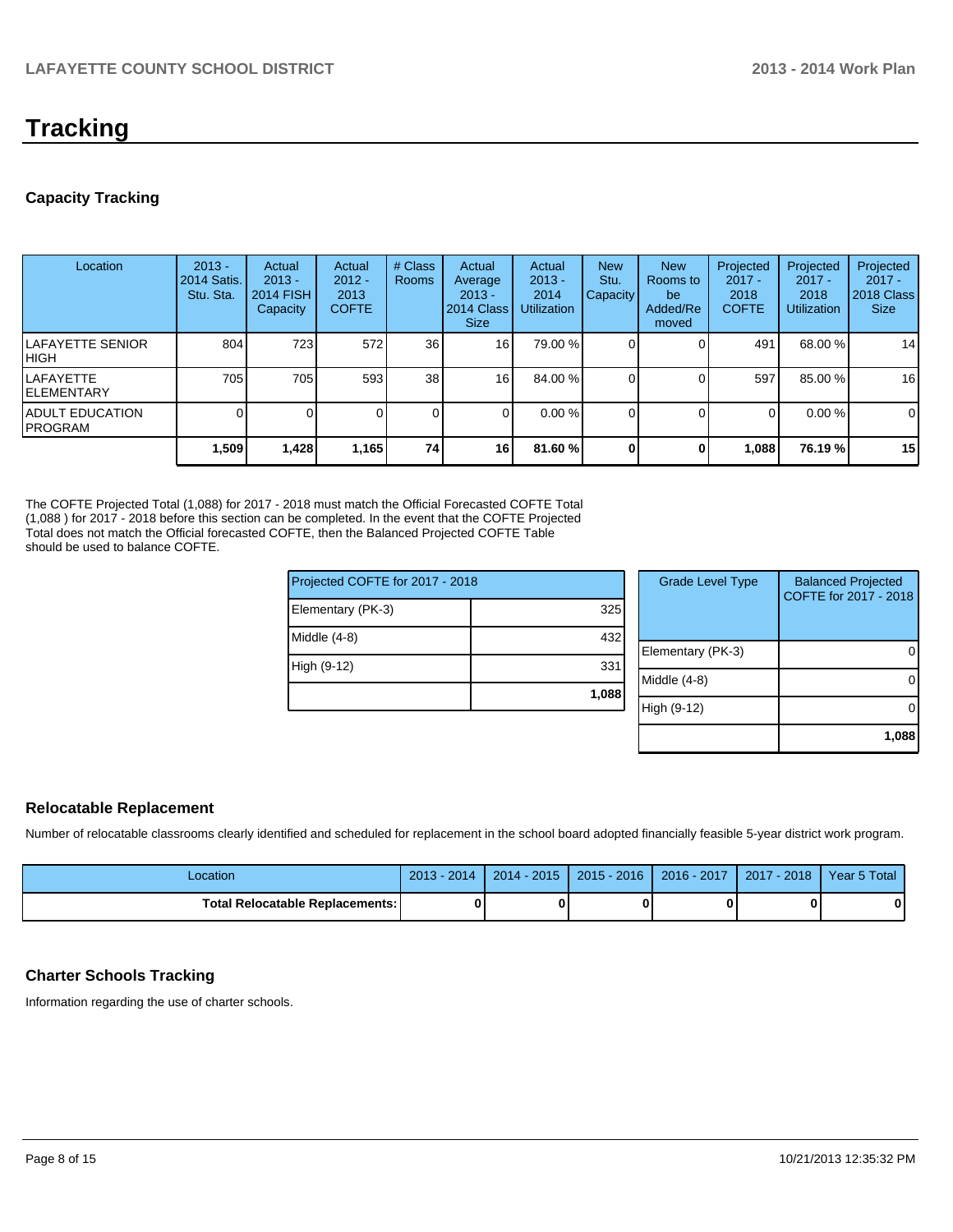### **Tracking**

#### **Capacity Tracking**

| Location                                   | $2013 -$<br><b>2014 Satis.</b><br>Stu. Sta. | Actual<br>$2013 -$<br><b>2014 FISH</b><br>Capacity | Actual<br>$2012 -$<br>2013<br><b>COFTE</b> | # Class<br><b>Rooms</b> | Actual<br>Average<br>$2013 -$<br>2014 Class<br><b>Size</b> | Actual<br>$2013 -$<br>2014<br><b>Utilization</b> | <b>New</b><br>Stu.<br><b>Capacity</b> | <b>New</b><br>Rooms to<br>be<br>Added/Re<br>moved | Projected<br>$2017 -$<br>2018<br><b>COFTE</b> | Projected<br>$2017 -$<br>2018<br><b>Utilization</b> | Projected<br>$2017 -$<br>2018 Class<br><b>Size</b> |
|--------------------------------------------|---------------------------------------------|----------------------------------------------------|--------------------------------------------|-------------------------|------------------------------------------------------------|--------------------------------------------------|---------------------------------------|---------------------------------------------------|-----------------------------------------------|-----------------------------------------------------|----------------------------------------------------|
| <b>ILAFAYETTE SENIOR</b><br>IHIGH          | 804                                         | 723                                                | 572                                        | 36 <sup>1</sup>         | 16                                                         | 79.00 %                                          |                                       |                                                   | 491                                           | 68.00 %                                             | 14                                                 |
| ILAFAYETTE<br><b>IELEMENTARY</b>           | 705                                         | 705                                                | 593                                        | 38 <sup>1</sup>         | 16                                                         | 84.00 %                                          |                                       |                                                   | 597                                           | 85.00 %                                             | 16                                                 |
| <b>IADULT EDUCATION</b><br><b>IPROGRAM</b> |                                             |                                                    |                                            | $\Omega$                |                                                            | $0.00\%$                                         |                                       |                                                   | 0                                             | $0.00\%$                                            | 0                                                  |
|                                            | 1,509                                       | 1,428                                              | 1,165                                      | 74                      | 16                                                         | 81.60%                                           |                                       | 0                                                 | 1,088                                         | 76.19 %                                             | 15                                                 |

The COFTE Projected Total (1,088) for 2017 - 2018 must match the Official Forecasted COFTE Total (1,088 ) for 2017 - 2018 before this section can be completed. In the event that the COFTE Projected Total does not match the Official forecasted COFTE, then the Balanced Projected COFTE Table should be used to balance COFTE.

| Projected COFTE for 2017 - 2018 |       | <b>Grade Level Type</b> | <b>Balanced Projected</b><br>COFTE for 2017 - 2018 |
|---------------------------------|-------|-------------------------|----------------------------------------------------|
| Elementary (PK-3)               | 325   |                         |                                                    |
| Middle (4-8)                    | 432   |                         |                                                    |
|                                 |       | Elementary (PK-3)       | 0                                                  |
| High (9-12)                     | 331   |                         |                                                    |
|                                 |       | Middle (4-8)            | 0                                                  |
|                                 | 1,088 |                         |                                                    |
|                                 |       | High (9-12)             | 0                                                  |
|                                 |       |                         |                                                    |
|                                 |       |                         | 1.088                                              |

#### **Relocatable Replacement**

Number of relocatable classrooms clearly identified and scheduled for replacement in the school board adopted financially feasible 5-year district work program.

| Location                               | $2013 - 2014$ | $2014 - 2015$ | $2015 - 2016$ | $2016 - 2017$ | $12017 - 2018$ | Year 5 Total |
|----------------------------------------|---------------|---------------|---------------|---------------|----------------|--------------|
| <b>Total Relocatable Replacements:</b> |               |               |               |               |                |              |

#### **Charter Schools Tracking**

Information regarding the use of charter schools.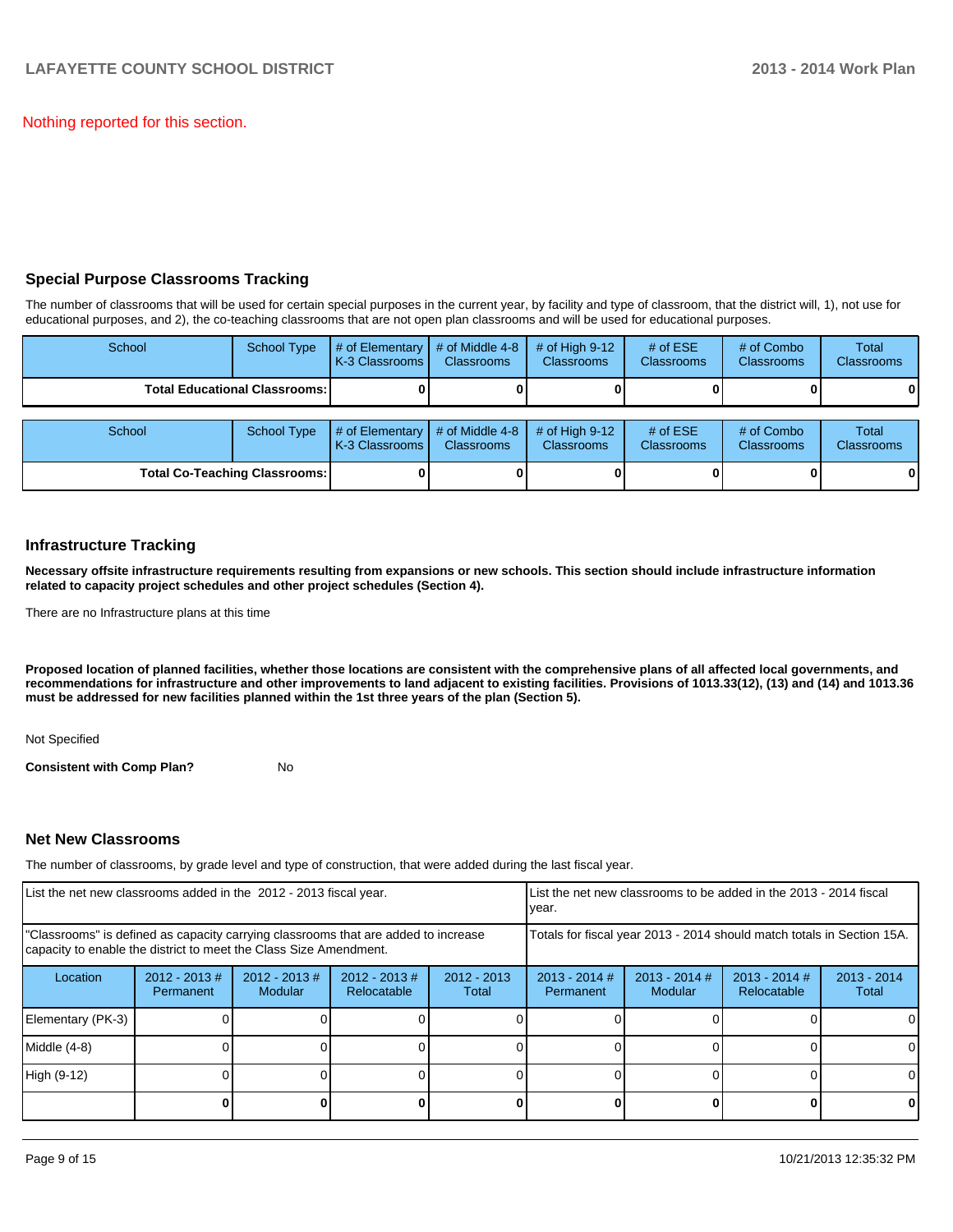Nothing reported for this section.

#### **Special Purpose Classrooms Tracking**

The number of classrooms that will be used for certain special purposes in the current year, by facility and type of classroom, that the district will, 1), not use for educational purposes, and 2), the co-teaching classrooms that are not open plan classrooms and will be used for educational purposes.

| School | <b>School Type</b>                     | # of Elementary<br>K-3 Classrooms | # of Middle 4-8<br><b>Classrooms</b> | # of High $9-12$<br><b>Classrooms</b> | # of $ESE$<br><b>Classrooms</b> | # of Combo<br><b>Classrooms</b> | <b>Total</b><br><b>Classrooms</b> |
|--------|----------------------------------------|-----------------------------------|--------------------------------------|---------------------------------------|---------------------------------|---------------------------------|-----------------------------------|
|        | <b>Total Educational Classrooms: I</b> |                                   |                                      |                                       |                                 |                                 | 0                                 |
|        |                                        |                                   |                                      |                                       |                                 |                                 |                                   |
| School | <b>School Type</b>                     | # of Elementary<br>K-3 Classrooms | # of Middle 4-8<br><b>Classrooms</b> | # of High $9-12$<br><b>Classrooms</b> | # of $ESE$<br><b>Classrooms</b> | # of Combo<br><b>Classrooms</b> | <b>Total</b><br><b>Classrooms</b> |
|        | <b>Total Co-Teaching Classrooms:</b>   |                                   |                                      |                                       |                                 |                                 | 0                                 |

#### **Infrastructure Tracking**

**Necessary offsite infrastructure requirements resulting from expansions or new schools. This section should include infrastructure information related to capacity project schedules and other project schedules (Section 4).**

There are no Infrastructure plans at this time

**Proposed location of planned facilities, whether those locations are consistent with the comprehensive plans of all affected local governments, and recommendations for infrastructure and other improvements to land adjacent to existing facilities. Provisions of 1013.33(12), (13) and (14) and 1013.36 must be addressed for new facilities planned within the 1st three years of the plan (Section 5).**

Not Specified

**Consistent with Comp Plan?** No

#### **Net New Classrooms**

The number of classrooms, by grade level and type of construction, that were added during the last fiscal year.

| List the net new classrooms added in the 2012 - 2013 fiscal year.                                                                                       |                               |                                    |                                 | List the net new classrooms to be added in the 2013 - 2014 fiscal<br>year. |                                                                        |                            |                                |                        |  |
|---------------------------------------------------------------------------------------------------------------------------------------------------------|-------------------------------|------------------------------------|---------------------------------|----------------------------------------------------------------------------|------------------------------------------------------------------------|----------------------------|--------------------------------|------------------------|--|
| "Classrooms" is defined as capacity carrying classrooms that are added to increase<br>capacity to enable the district to meet the Class Size Amendment. |                               |                                    |                                 |                                                                            | Totals for fiscal year 2013 - 2014 should match totals in Section 15A. |                            |                                |                        |  |
| Location                                                                                                                                                | $2012 - 2013 \#$<br>Permanent | $2012 - 2013 \#$<br><b>Modular</b> | $2012 - 2013 \#$<br>Relocatable | $2012 - 2013$<br>Total                                                     | $2013 - 2014$ #<br>Permanent                                           | $2013 - 2014$ #<br>Modular | $2013 - 2014$ #<br>Relocatable | $2013 - 2014$<br>Total |  |
| Elementary (PK-3)                                                                                                                                       |                               |                                    |                                 |                                                                            |                                                                        |                            |                                | $\Omega$               |  |
| Middle (4-8)                                                                                                                                            |                               |                                    |                                 |                                                                            |                                                                        |                            |                                | $\Omega$               |  |
| High (9-12)                                                                                                                                             |                               |                                    |                                 |                                                                            |                                                                        |                            |                                | $\Omega$               |  |
|                                                                                                                                                         |                               |                                    |                                 |                                                                            |                                                                        |                            | U                              | $\mathbf{0}$           |  |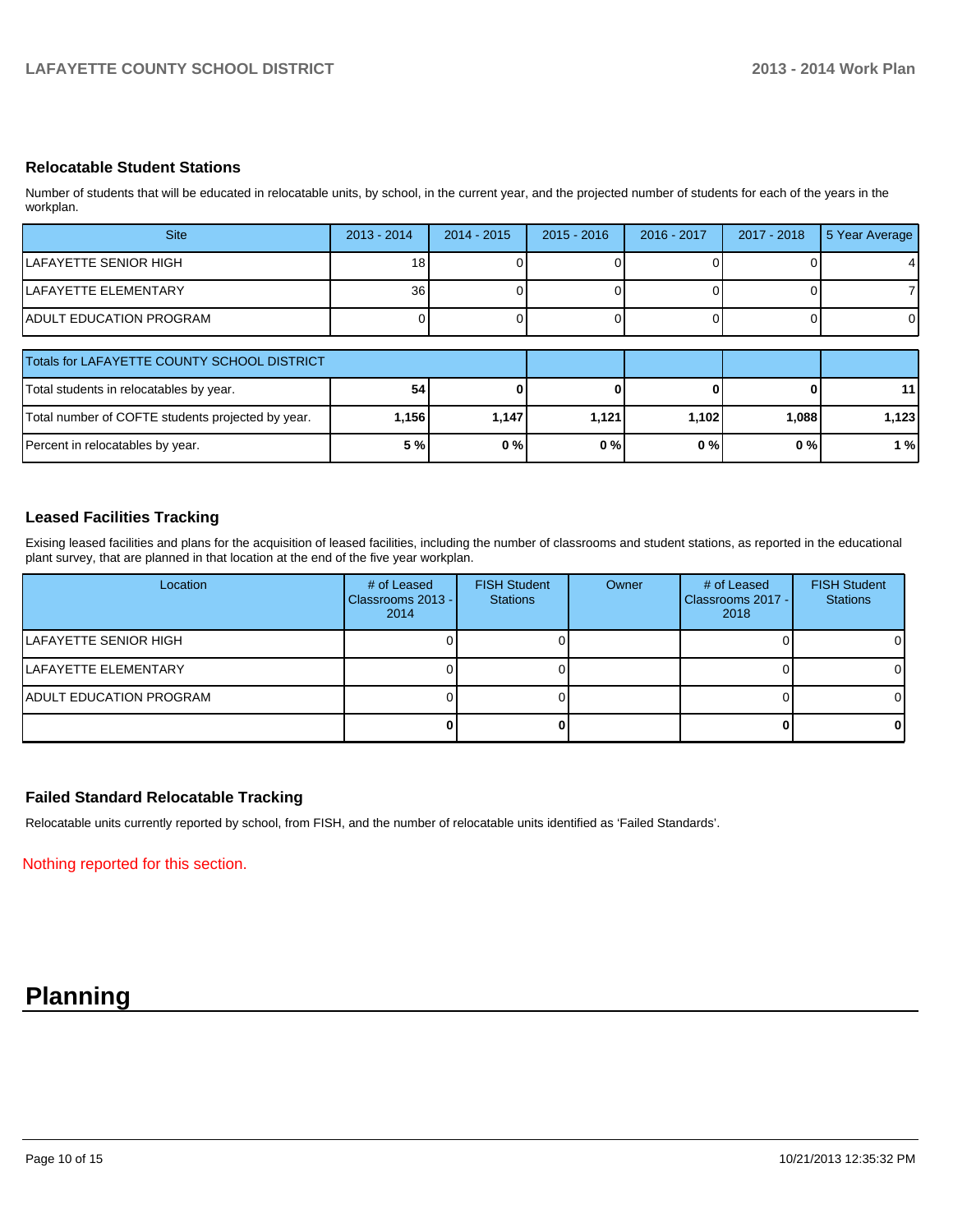#### **Relocatable Student Stations**

Number of students that will be educated in relocatable units, by school, in the current year, and the projected number of students for each of the years in the workplan.

| <b>Site</b>                                 | $2013 - 2014$   | $2014 - 2015$ | $2015 - 2016$ | 2016 - 2017 | 2017 - 2018 | 5 Year Average  |
|---------------------------------------------|-----------------|---------------|---------------|-------------|-------------|-----------------|
| LAFAYETTE SENIOR HIGH                       | 18।             |               |               |             |             | 4               |
| <b>ILAFAYETTE ELEMENTARY</b>                | 36 <sup>1</sup> |               |               |             |             |                 |
| <b>ADULT EDUCATION PROGRAM</b>              |                 |               |               |             |             |                 |
|                                             |                 |               |               |             |             |                 |
| Totals for LAFAYETTE COUNTY SCHOOL DISTRICT |                 |               |               |             |             |                 |
| Total students in relocatables by year.     | 54              |               |               |             |             | 11 <sup>1</sup> |

| Total number of COFTE students projected by year. | ا156. | '147.،       | .121  | ا 102. | ا 088. ا | 123,         |
|---------------------------------------------------|-------|--------------|-------|--------|----------|--------------|
| Percent in relocatables by year.                  | 5%    | ስ 0/<br>U 70 | $0\%$ | 0%     | 0%       | $\mathbf{0}$ |
|                                                   |       |              |       |        |          |              |

#### **Leased Facilities Tracking**

Exising leased facilities and plans for the acquisition of leased facilities, including the number of classrooms and student stations, as reported in the educational plant survey, that are planned in that location at the end of the five year workplan.

| Location                        | # of Leased<br>Classrooms 2013 - I<br>2014 | <b>FISH Student</b><br><b>Stations</b> | Owner | # of Leased<br>Classrooms 2017 - I<br>2018 | <b>FISH Student</b><br><b>Stations</b> |
|---------------------------------|--------------------------------------------|----------------------------------------|-------|--------------------------------------------|----------------------------------------|
| ILAFAYETTE SENIOR HIGH          |                                            |                                        |       |                                            | ΟI                                     |
| LAFAYETTE ELEMENTARY            |                                            |                                        |       |                                            | ΩI                                     |
| <b>IADULT EDUCATION PROGRAM</b> |                                            |                                        |       |                                            | ΟI                                     |
|                                 |                                            |                                        |       |                                            | 01                                     |

#### **Failed Standard Relocatable Tracking**

Relocatable units currently reported by school, from FISH, and the number of relocatable units identified as 'Failed Standards'.

Nothing reported for this section.

### **Planning**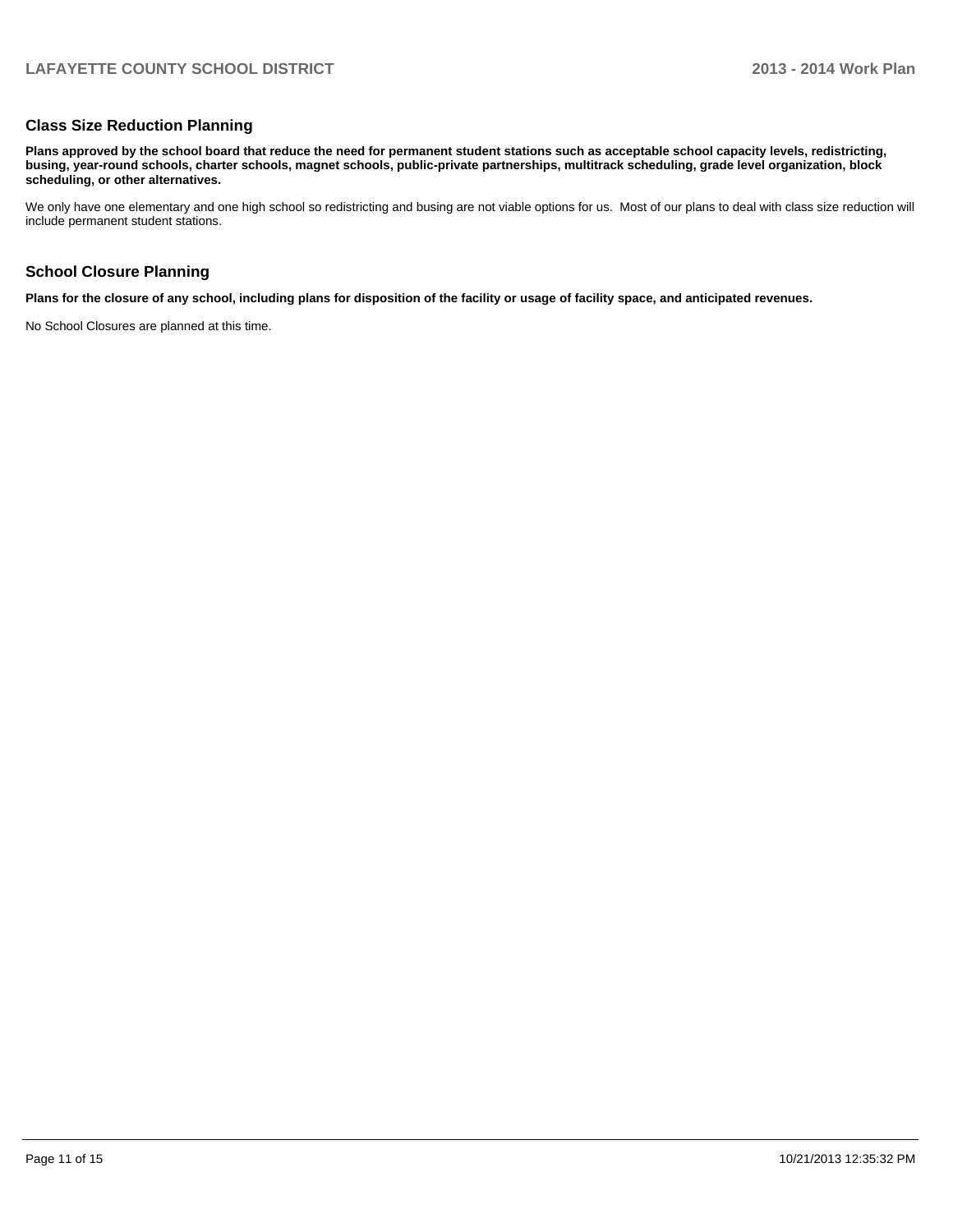#### **Class Size Reduction Planning**

**Plans approved by the school board that reduce the need for permanent student stations such as acceptable school capacity levels, redistricting, busing, year-round schools, charter schools, magnet schools, public-private partnerships, multitrack scheduling, grade level organization, block scheduling, or other alternatives.**

We only have one elementary and one high school so redistricting and busing are not viable options for us. Most of our plans to deal with class size reduction will include permanent student stations.

#### **School Closure Planning**

**Plans for the closure of any school, including plans for disposition of the facility or usage of facility space, and anticipated revenues.**

No School Closures are planned at this time.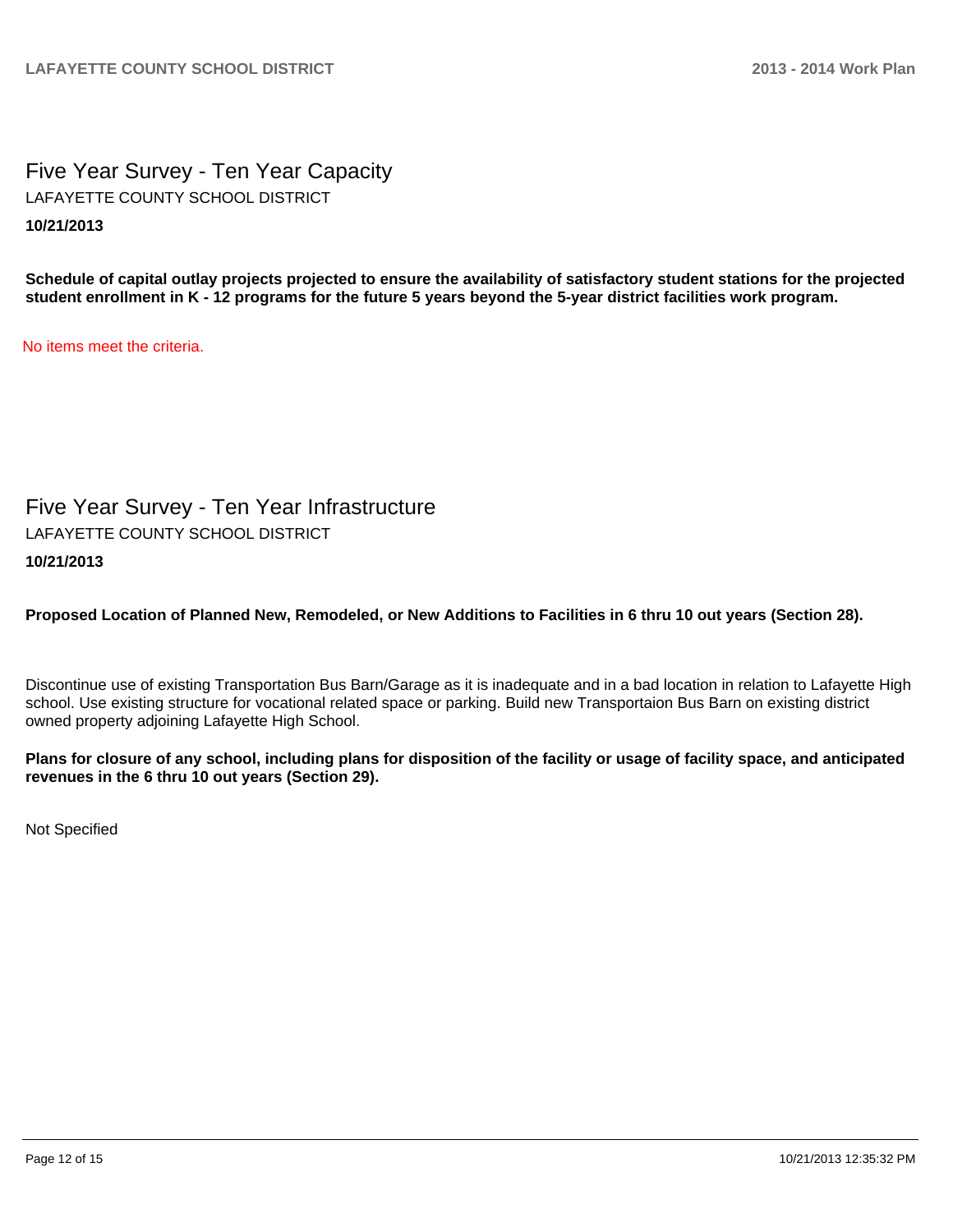Five Year Survey - Ten Year Capacity **10/21/2013** LAFAYETTE COUNTY SCHOOL DISTRICT

**Schedule of capital outlay projects projected to ensure the availability of satisfactory student stations for the projected student enrollment in K - 12 programs for the future 5 years beyond the 5-year district facilities work program.**

No items meet the criteria.

Five Year Survey - Ten Year Infrastructure LAFAYETTE COUNTY SCHOOL DISTRICT

#### **10/21/2013**

**Proposed Location of Planned New, Remodeled, or New Additions to Facilities in 6 thru 10 out years (Section 28).**

Discontinue use of existing Transportation Bus Barn/Garage as it is inadequate and in a bad location in relation to Lafayette High school. Use existing structure for vocational related space or parking. Build new Transportaion Bus Barn on existing district owned property adjoining Lafayette High School.

**Plans for closure of any school, including plans for disposition of the facility or usage of facility space, and anticipated revenues in the 6 thru 10 out years (Section 29).**

Not Specified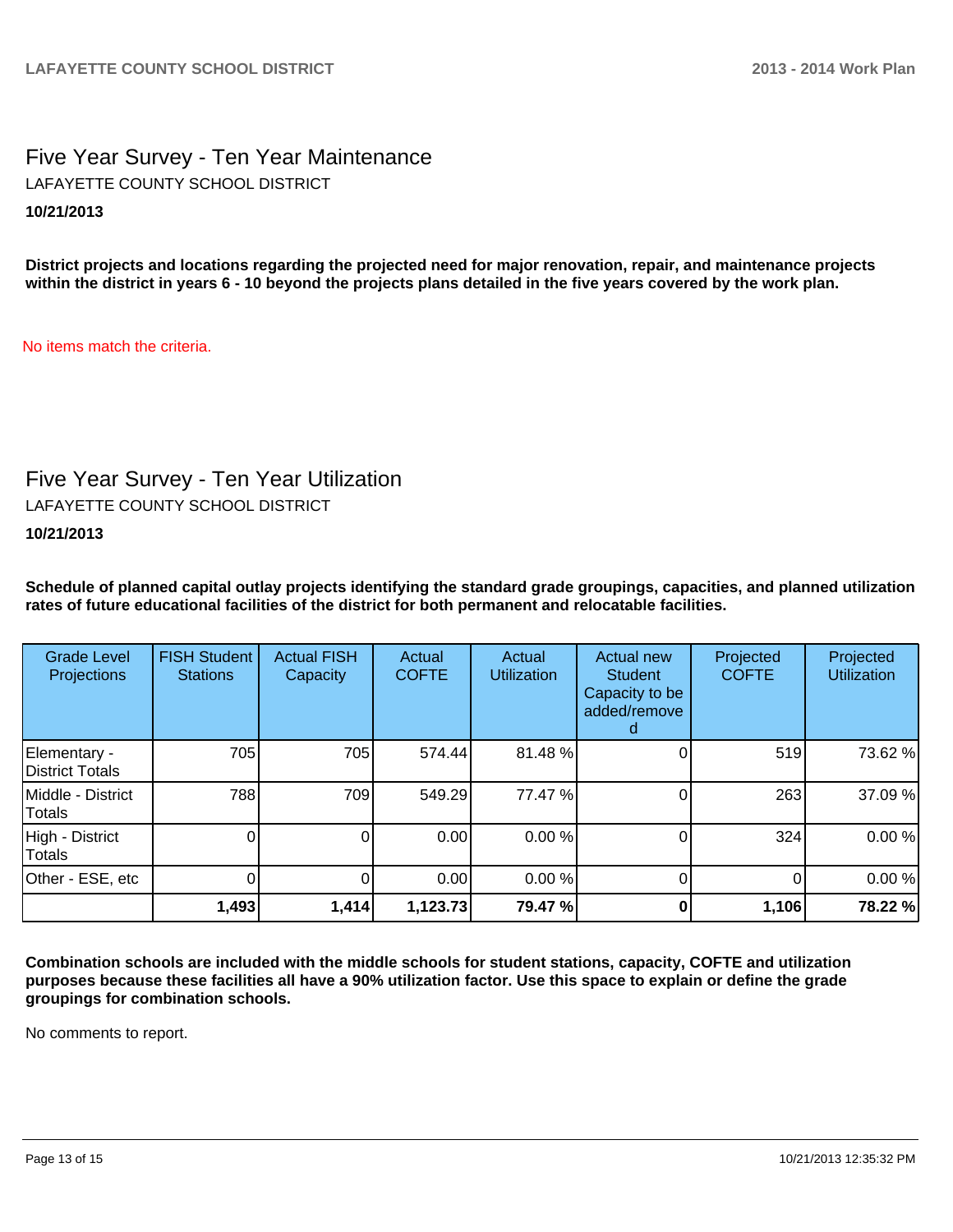Five Year Survey - Ten Year Maintenance **10/21/2013** LAFAYETTE COUNTY SCHOOL DISTRICT

**District projects and locations regarding the projected need for major renovation, repair, and maintenance projects within the district in years 6 - 10 beyond the projects plans detailed in the five years covered by the work plan.**

No items match the criteria.

### Five Year Survey - Ten Year Utilization

LAFAYETTE COUNTY SCHOOL DISTRICT

**10/21/2013**

**Schedule of planned capital outlay projects identifying the standard grade groupings, capacities, and planned utilization rates of future educational facilities of the district for both permanent and relocatable facilities.**

| <b>Grade Level</b><br>Projections | <b>FISH Student</b><br><b>Stations</b> | <b>Actual FISH</b><br>Capacity | Actual<br><b>COFTE</b> | Actual<br><b>Utilization</b> | Actual new<br><b>Student</b><br>Capacity to be<br>added/remove | Projected<br><b>COFTE</b> | Projected<br><b>Utilization</b> |
|-----------------------------------|----------------------------------------|--------------------------------|------------------------|------------------------------|----------------------------------------------------------------|---------------------------|---------------------------------|
| Elementary -<br>District Totals   | 705                                    | 705                            | 574.44                 | 81.48%                       |                                                                | 519                       | 73.62 %                         |
| Middle - District<br>Totals       | 788                                    | 709                            | 549.29                 | 77.47 %                      |                                                                | 263                       | 37.09 %                         |
| High - District<br><b>Totals</b>  |                                        | 0                              | 0.00                   | 0.00 %                       |                                                                | 324                       | 0.00%                           |
| Other - ESE, etc                  |                                        | 0                              | 0.00                   | 0.00 %                       |                                                                | 0                         | 0.00%                           |
|                                   | 1,493                                  | 1,414                          | 1,123.73               | 79.47 %                      |                                                                | 1,106                     | 78.22 %                         |

**Combination schools are included with the middle schools for student stations, capacity, COFTE and utilization purposes because these facilities all have a 90% utilization factor. Use this space to explain or define the grade groupings for combination schools.**

No comments to report.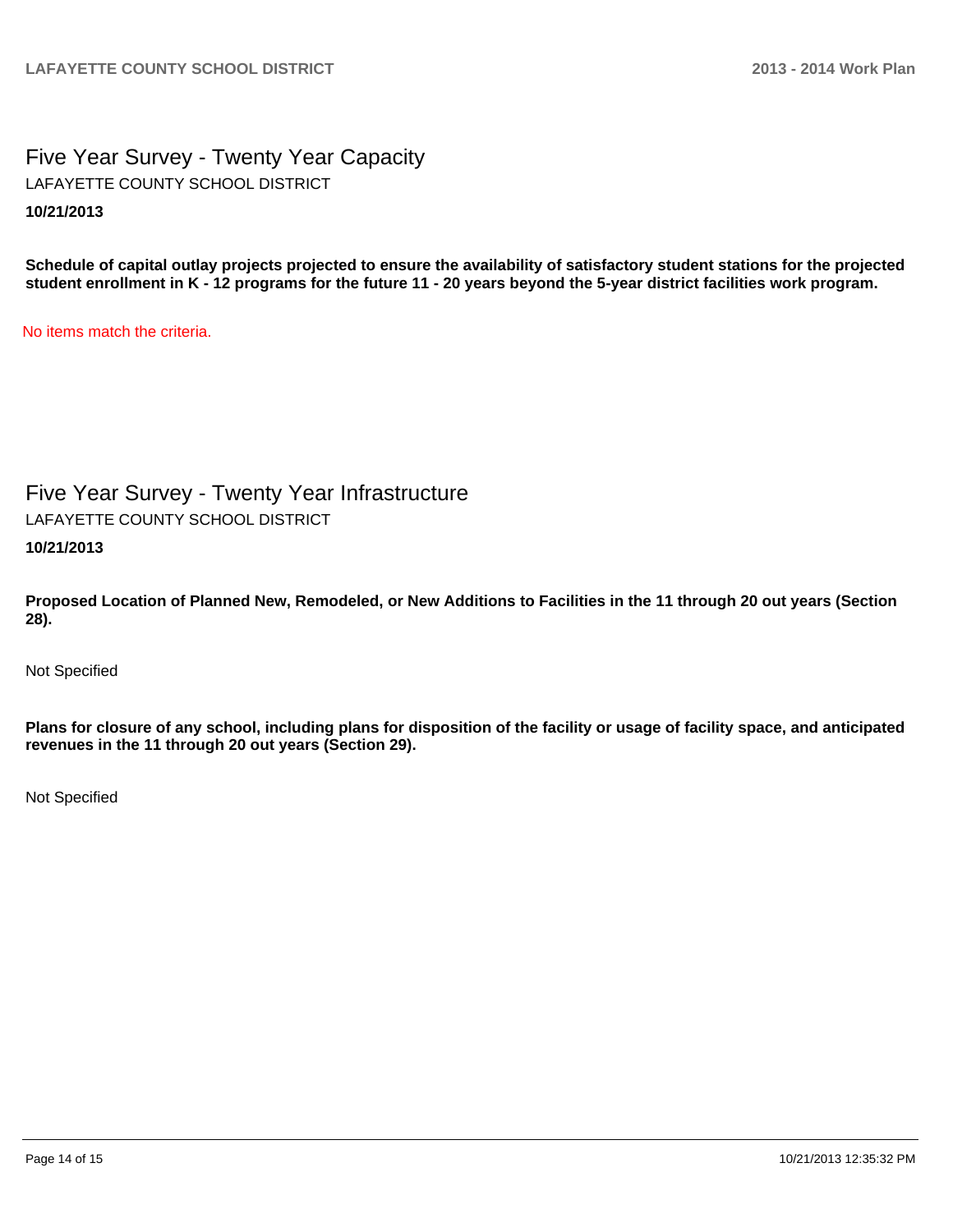Five Year Survey - Twenty Year Capacity **10/21/2013** LAFAYETTE COUNTY SCHOOL DISTRICT

**Schedule of capital outlay projects projected to ensure the availability of satisfactory student stations for the projected student enrollment in K - 12 programs for the future 11 - 20 years beyond the 5-year district facilities work program.**

No items match the criteria.

Five Year Survey - Twenty Year Infrastructure **10/21/2013** LAFAYETTE COUNTY SCHOOL DISTRICT

**Proposed Location of Planned New, Remodeled, or New Additions to Facilities in the 11 through 20 out years (Section 28).**

Not Specified

**Plans for closure of any school, including plans for disposition of the facility or usage of facility space, and anticipated revenues in the 11 through 20 out years (Section 29).**

Not Specified